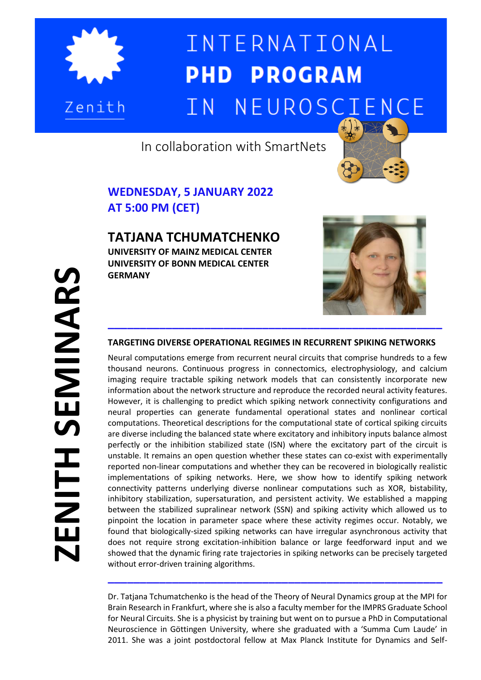

 $\overline{\phantom{a}}$ 

## INTERNATIONAL **PHD PROGRAM** NEUROSCIENCE  $TN$

In collaboration with SmartNets



## **WEDNESDAY, 5 JANUARY 2022 AT 5:00 PM (CET)**

**TATJANA TCHUMATCHENKO UNIVERSITY OF MAINZ MEDICAL CENTER UNIVERSITY OF BONN MEDICAL CENTER**

**GERMANY**



## **TARGETING DIVERSE OPERATIONAL REGIMES IN RECURRENT SPIKING NETWORKS**

Neural computations emerge from recurrent neural circuits that comprise hundreds to a few thousand neurons. Continuous progress in connectomics, electrophysiology, and calcium imaging require tractable spiking network models that can consistently incorporate new information about the network structure and reproduce the recorded neural activity features. However, it is challenging to predict which spiking network connectivity configurations and neural properties can generate fundamental operational states and nonlinear cortical computations. Theoretical descriptions for the computational state of cortical spiking circuits are diverse including the balanced state where excitatory and inhibitory inputs balance almost perfectly or the inhibition stabilized state (ISN) where the excitatory part of the circuit is unstable. It remains an open question whether these states can co-exist with experimentally reported non-linear computations and whether they can be recovered in biologically realistic implementations of spiking networks. Here, we show how to identify spiking network connectivity patterns underlying diverse nonlinear computations such as XOR, bistability, inhibitory stabilization, supersaturation, and persistent activity. We established a mapping between the stabilized supralinear network (SSN) and spiking activity which allowed us to pinpoint the location in parameter space where these activity regimes occur. Notably, we found that biologically-sized spiking networks can have irregular asynchronous activity that does not require strong excitation-inhibition balance or large feedforward input and we showed that the dynamic firing rate trajectories in spiking networks can be precisely targeted without error-driven training algorithms.

Dr. Tatjana Tchumatchenko is the head of the Theory of Neural Dynamics group at the MPI for Brain Research in Frankfurt, where she is also a faculty member for the IMPRS Graduate School for Neural Circuits. She is a physicist by training but went on to pursue a PhD in Computational Neuroscience in Göttingen University, where she graduated with a 'Summa Cum Laude' in 2011. She was a joint postdoctoral fellow at Max Planck Institute for Dynamics and Self-

**\_\_\_\_\_\_\_\_\_\_\_\_\_\_\_\_\_\_\_\_\_\_\_\_\_\_\_\_\_\_\_\_\_\_\_\_\_\_\_\_\_\_\_\_\_\_\_\_\_\_\_\_**